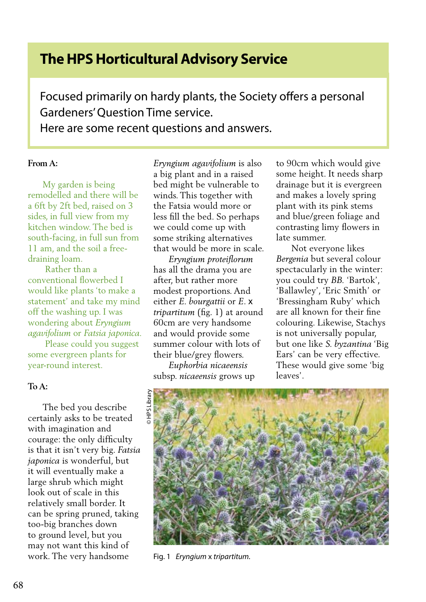# **The HPS Horticultural Advisory Service**

Focused primarily on hardy plants, the Society offers a personal Gardeners' Question Time service. Here are some recent questions and answers.

## **From A:**

 My garden is being remodelled and there will be a 6ft by 2ft bed, raised on 3 sides, in full view from my kitchen window. The bed is south-facing, in full sun from 11 am, and the soil a freedraining loam.

 Rather than a conventional flowerbed I would like plants 'to make a statement' and take my mind off the washing up. I was wondering about *Eryngium agavifolium* or *Fatsia japonica.*

 Please could you suggest some evergreen plants for year-round interest.

#### **To A:**

 The bed you describe certainly asks to be treated with imagination and courage: the only difficulty is that it isn't very big. *Fatsia japonica* is wonderful, but it will eventually make a large shrub which might look out of scale in this relatively small border. It can be spring pruned, taking too-big branches down to ground level, but you may not want this kind of work. The very handsome

*Eryngium agavifolium* is also a big plant and in a raised bed might be vulnerable to winds. This together with the Fatsia would more or less fill the bed. So perhaps we could come up with some striking alternatives that would be more in scale.

 *Eryngium proteiflorum* has all the drama you are after, but rather more modest proportions. And either *E. bourgattii* or *E*. x *tripartitum* (fig. 1) at around 60cm are very handsome and would provide some summer colour with lots of their blue/grey flowers.

 *Euphorbia nicaeensis*  subsp. *nicaeensis* grows up to 90cm which would give some height. It needs sharp drainage but it is evergreen and makes a lovely spring plant with its pink stems and blue/green foliage and contrasting limy flowers in late summer.

 Not everyone likes *Bergenia* but several colour spectacularly in the winter: you could try *BB.* 'Bartok', 'Ballawley', 'Eric Smith' or 'Bressingham Ruby' which are all known for their fine colouring. Likewise, Stachys is not universally popular, but one like *S. byzantina* 'Big Ears' can be very effective. These would give some 'big leaves'.



Fig. 1 *Eryngium* x *tripartitum.*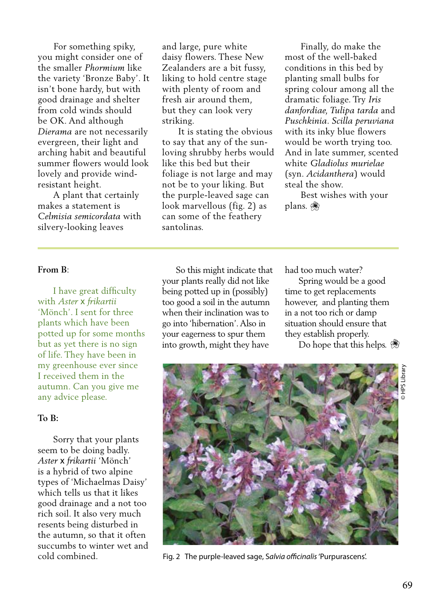For something spiky, you might consider one of the smaller *Phormium* like the variety 'Bronze Baby'. It isn't bone hardy, but with good drainage and shelter from cold winds should be OK. And although *Dierama* are not necessarily evergreen, their light and arching habit and beautiful summer flowers would look lovely and provide windresistant height.

 A plant that certainly makes a statement is *Celmisia semicordata* with silvery-looking leaves

and large, pure white daisy flowers. These New Zealanders are a bit fussy, liking to hold centre stage with plenty of room and fresh air around them, but they can look very striking.

 It is stating the obvious to say that any of the sunloving shrubby herbs would like this bed but their foliage is not large and may not be to your liking. But the purple-leaved sage can look marvellous (fig. 2) as can some of the feathery santolinas.

 Finally, do make the most of the well-baked conditions in this bed by planting small bulbs for spring colour among all the dramatic foliage. Try *Iris danfordiae, Tulipa tarda* and *Puschkinia*. *Scilla peruviana* with its inky blue flowers would be worth trying too. And in late summer, scented white *Gladiolus murielae*  (syn. *Acidanthera*) would steal the show.

 Best wishes with your plans.

### **From B**:

 I have great difficulty with *Aster* x *frikartii*  'Mönch'. I sent for three plants which have been potted up for some months but as yet there is no sign of life. They have been in my greenhouse ever since I received them in the autumn. Can you give me any advice please.

### **To B:**

 Sorry that your plants seem to be doing badly. *Aster* x *frikartii* 'Mönch' is a hybrid of two alpine types of 'Michaelmas Daisy' which tells us that it likes good drainage and a not too rich soil. It also very much resents being disturbed in the autumn, so that it often succumbs to winter wet and cold combined.

 So this might indicate that your plants really did not like being potted up in (possibly) too good a soil in the autumn when their inclination was to go into 'hibernation'. Also in your eagerness to spur them into growth, might they have

had too much water?

 Spring would be a good time to get replacements however, and planting them in a not too rich or damp situation should ensure that they establish properly.

Do hope that this helps.



Fig. 2 The purple-leaved sage, S*alvia officinalis* 'Purpurascens'.